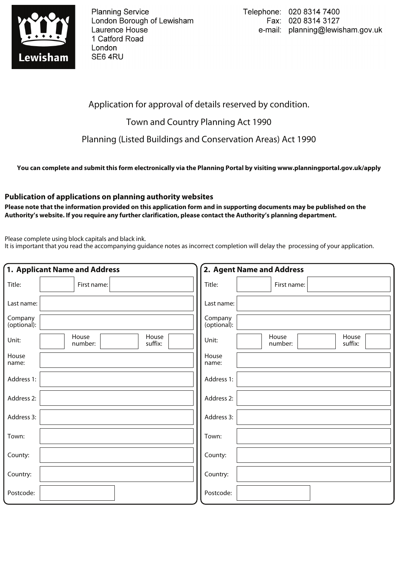

**Planning Service** London Borough of Lewisham Laurence House 1 Catford Road London SE64RU

Application for approval of details reserved by condition.

Town and Country Planning Act 1990

Planning (Listed Buildings and Conservation Areas) Act 1990

**You can complete and submit this form electronically via the Planning Portal by visiting www.planningportal.gov.uk/apply**

## **Publication of applications on planning authority websites**

**Please note that the information provided on this application form and in supporting documents may be published on the Authority's website. If you require any further clarification, please contact the Authority's planning department.**

Please complete using block capitals and black ink.

It is important that you read the accompanying guidance notes as incorrect completion will delay the processing of your application.

| 1. Applicant Name and Address |                                      | 2. Agent Name and Address |                                      |
|-------------------------------|--------------------------------------|---------------------------|--------------------------------------|
| Title:                        | First name:                          | Title:                    | First name:                          |
| Last name:                    |                                      | Last name:                |                                      |
| Company<br>(optional):        |                                      | Company<br>(optional):    |                                      |
| Unit:                         | House<br>House<br>suffix:<br>number: | Unit:                     | House<br>House<br>number:<br>suffix: |
| House<br>name:                |                                      | House<br>name:            |                                      |
| Address 1:                    |                                      | Address 1:                |                                      |
| Address 2:                    |                                      | Address 2:                |                                      |
| Address 3:                    |                                      | Address 3:                |                                      |
| Town:                         |                                      | Town:                     |                                      |
| County:                       |                                      | County:                   |                                      |
| Country:                      |                                      | Country:                  |                                      |
| Postcode:                     |                                      | Postcode:                 |                                      |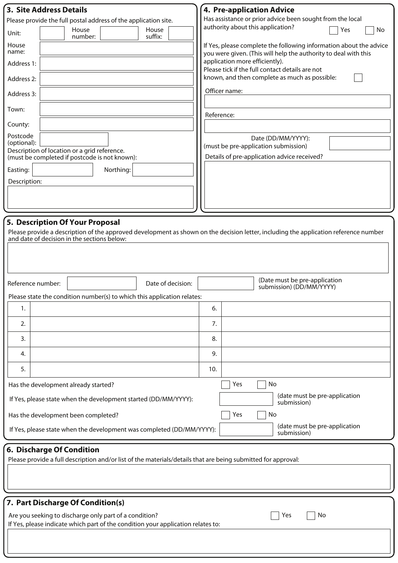| <b>3. Site Address Details</b>                                                                                                                                                      | <b>4. Pre-application Advice</b>                                                                                                      |  |  |  |  |
|-------------------------------------------------------------------------------------------------------------------------------------------------------------------------------------|---------------------------------------------------------------------------------------------------------------------------------------|--|--|--|--|
| Please provide the full postal address of the application site.<br>House<br>House                                                                                                   | Has assistance or prior advice been sought from the local<br>authority about this application?<br>Yes<br>No                           |  |  |  |  |
| Unit:<br>suffix:<br>number:                                                                                                                                                         |                                                                                                                                       |  |  |  |  |
| House<br>name:                                                                                                                                                                      | If Yes, please complete the following information about the advice<br>you were given. (This will help the authority to deal with this |  |  |  |  |
| Address 1:                                                                                                                                                                          | application more efficiently).<br>Please tick if the full contact details are not                                                     |  |  |  |  |
| Address 2:                                                                                                                                                                          | known, and then complete as much as possible:                                                                                         |  |  |  |  |
| Address 3:                                                                                                                                                                          | Officer name:                                                                                                                         |  |  |  |  |
| Town:                                                                                                                                                                               | Reference:                                                                                                                            |  |  |  |  |
| County:                                                                                                                                                                             |                                                                                                                                       |  |  |  |  |
| Postcode<br>(optional):                                                                                                                                                             | Date (DD/MM/YYYY):                                                                                                                    |  |  |  |  |
| Description of location or a grid reference.<br>(must be completed if postcode is not known):                                                                                       | (must be pre-application submission)<br>Details of pre-application advice received?                                                   |  |  |  |  |
| Northing:<br>Easting:                                                                                                                                                               |                                                                                                                                       |  |  |  |  |
| Description:                                                                                                                                                                        |                                                                                                                                       |  |  |  |  |
|                                                                                                                                                                                     |                                                                                                                                       |  |  |  |  |
|                                                                                                                                                                                     |                                                                                                                                       |  |  |  |  |
| 5. Description Of Your Proposal                                                                                                                                                     |                                                                                                                                       |  |  |  |  |
| Please provide a description of the approved development as shown on the decision letter, including the application reference number<br>and date of decision in the sections below: |                                                                                                                                       |  |  |  |  |
|                                                                                                                                                                                     |                                                                                                                                       |  |  |  |  |
|                                                                                                                                                                                     |                                                                                                                                       |  |  |  |  |
|                                                                                                                                                                                     | (Date must be pre-application                                                                                                         |  |  |  |  |
| Reference number:<br>Date of decision:                                                                                                                                              | submission) (DD/MM/YYYY)                                                                                                              |  |  |  |  |
| Please state the condition number(s) to which this application relates:<br>1.                                                                                                       | 6.                                                                                                                                    |  |  |  |  |
| 2.                                                                                                                                                                                  | 7.                                                                                                                                    |  |  |  |  |
| 3.                                                                                                                                                                                  | 8.                                                                                                                                    |  |  |  |  |
| 4.                                                                                                                                                                                  | 9.                                                                                                                                    |  |  |  |  |
| 5.                                                                                                                                                                                  | 10.                                                                                                                                   |  |  |  |  |
|                                                                                                                                                                                     |                                                                                                                                       |  |  |  |  |
| Has the development already started?<br>Yes<br>No<br>(date must be pre-application                                                                                                  |                                                                                                                                       |  |  |  |  |
| If Yes, please state when the development started (DD/MM/YYYY):<br>submission)                                                                                                      |                                                                                                                                       |  |  |  |  |
| Has the development been completed?<br>Yes<br>No<br>(date must be pre-application                                                                                                   |                                                                                                                                       |  |  |  |  |
| If Yes, please state when the development was completed (DD/MM/YYYY):<br>submission)                                                                                                |                                                                                                                                       |  |  |  |  |
| 6. Discharge Of Condition                                                                                                                                                           |                                                                                                                                       |  |  |  |  |
| Please provide a full description and/or list of the materials/details that are being submitted for approval:                                                                       |                                                                                                                                       |  |  |  |  |
|                                                                                                                                                                                     |                                                                                                                                       |  |  |  |  |
|                                                                                                                                                                                     |                                                                                                                                       |  |  |  |  |
| 7. Part Discharge Of Condition(s)                                                                                                                                                   |                                                                                                                                       |  |  |  |  |
| Are you seeking to discharge only part of a condition?<br>No<br>Yes                                                                                                                 |                                                                                                                                       |  |  |  |  |
| If Yes, please indicate which part of the condition your application relates to:                                                                                                    |                                                                                                                                       |  |  |  |  |
|                                                                                                                                                                                     |                                                                                                                                       |  |  |  |  |